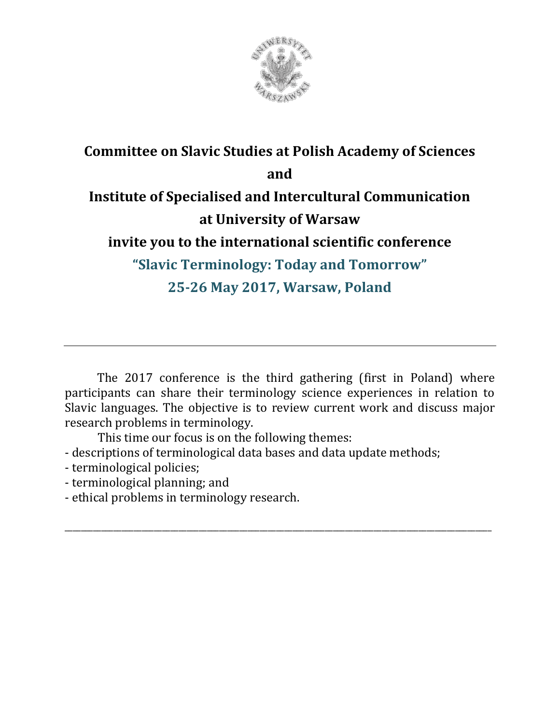

## **Committee on Slavic Studies at Polish Academy of Sciences and Institute of Specialised and Intercultural Communication at University of Warsaw invite you to the international scientific conference "Slavic Terminology: Today and Tomorrow" 25-26 May 2017, Warsaw, Poland**

The 2017 conference is the third gathering (first in Poland) where participants can share their terminology science experiences in relation to Slavic languages. The objective is to review current work and discuss major research problems in terminology.

\_\_\_\_\_\_\_\_\_\_\_\_\_\_\_\_\_\_\_\_\_\_\_\_\_\_\_\_\_\_\_\_\_\_\_\_\_\_\_\_\_\_\_\_\_\_\_\_\_\_\_\_\_\_\_\_\_\_\_\_\_\_\_\_\_\_\_\_\_\_\_\_\_\_\_\_\_\_\_\_\_\_\_\_\_\_\_\_\_\_\_\_\_\_\_\_\_\_\_\_\_\_\_\_\_

This time our focus is on the following themes:

- descriptions of terminological data bases and data update methods;
- terminological policies;
- terminological planning; and
- ethical problems in terminology research.